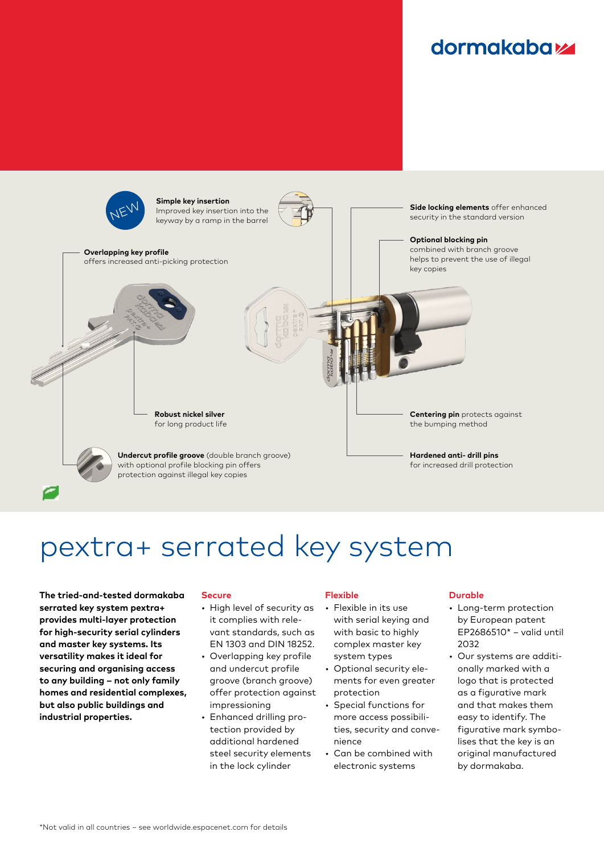### **dormakabazz**



# pextra+ serrated key system

**The tried-and-tested dormakaba serrated key system pextra+ provides multi-layer protection for high-security serial cylinders and master key systems. Its versatility makes it ideal for securing and organising access to any building – not only family homes and residential complexes, but also public buildings and industrial properties.**

#### **Secure**

- High level of security as it complies with relevant standards, such as EN 1303 and DIN 18252.
- Overlapping key profile and undercut profile groove (branch groove) offer protection against impressioning
- Enhanced drilling protection provided by additional hardened steel security elements in the lock cylinder

#### **Flexible**

- Flexible in its use with serial keying and with basic to highly complex master key system types
- Optional security elements for even greater protection
- Special functions for more access possibilities, security and convenience
- Can be combined with electronic systems

#### **Durable**

- Long-term protection by European patent EP2686510\* – valid until  $2032$
- Our systems are additionally marked with a logo that is protected as a figurative mark and that makes them easy to identify. The figurative mark symbolises that the key is an original manufactured by dormakaba.